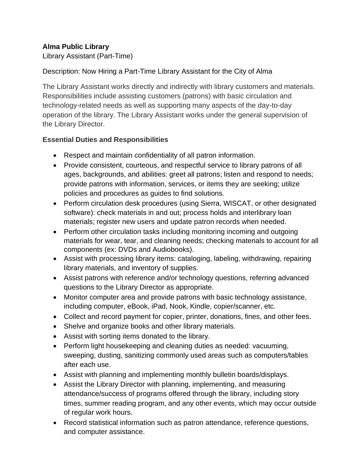# **Alma Public Library**

Library Assistant (Part-Time)

## Description: Now Hiring a Part-Time Library Assistant for the City of Alma

The Library Assistant works directly and indirectly with library customers and materials. Responsibilities include assisting customers (patrons) with basic circulation and technology-related needs as well as supporting many aspects of the day-to-day operation of the library. The Library Assistant works under the general supervision of the Library Director.

### **Essential Duties and Responsibilities**

- Respect and maintain confidentiality of all patron information.
- Provide consistent, courteous, and respectful service to library patrons of all ages, backgrounds, and abilities: greet all patrons; listen and respond to needs; provide patrons with information, services, or items they are seeking; utilize policies and procedures as guides to find solutions.
- Perform circulation desk procedures (using Sierra, WISCAT, or other designated software): check materials in and out; process holds and interlibrary loan materials; register new users and update patron records when needed.
- Perform other circulation tasks including monitoring incoming and outgoing materials for wear, tear, and cleaning needs; checking materials to account for all components (ex: DVDs and Audiobooks).
- Assist with processing library items: cataloging, labeling, withdrawing, repairing library materials, and inventory of supplies.
- Assist patrons with reference and/or technology questions, referring advanced questions to the Library Director as appropriate.
- Monitor computer area and provide patrons with basic technology assistance, including computer, eBook, iPad, Nook, Kindle, copier/scanner, etc.
- Collect and record payment for copier, printer, donations, fines, and other fees.
- Shelve and organize books and other library materials.
- Assist with sorting items donated to the library.
- Perform light housekeeping and cleaning duties as needed: vacuuming, sweeping, dusting, sanitizing commonly used areas such as computers/tables after each use.
- Assist with planning and implementing monthly bulletin boards/displays.
- Assist the Library Director with planning, implementing, and measuring attendance/success of programs offered through the library, including story times, summer reading program, and any other events, which may occur outside of regular work hours.
- Record statistical information such as patron attendance, reference questions, and computer assistance.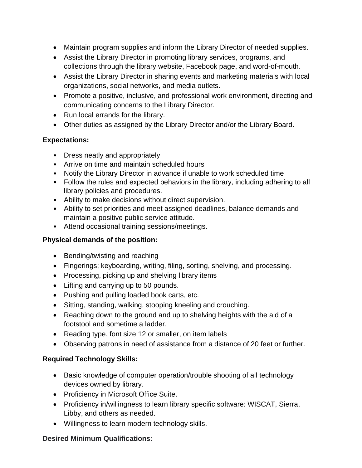- Maintain program supplies and inform the Library Director of needed supplies.
- Assist the Library Director in promoting library services, programs, and collections through the library website, Facebook page, and word-of-mouth.
- Assist the Library Director in sharing events and marketing materials with local organizations, social networks, and media outlets.
- Promote a positive, inclusive, and professional work environment, directing and communicating concerns to the Library Director.
- Run local errands for the library.
- Other duties as assigned by the Library Director and/or the Library Board.

### **Expectations:**

- Dress neatly and appropriately
- Arrive on time and maintain scheduled hours
- Notify the Library Director in advance if unable to work scheduled time
- Follow the rules and expected behaviors in the library, including adhering to all library policies and procedures.
- Ability to make decisions without direct supervision.
- Ability to set priorities and meet assigned deadlines, balance demands and maintain a positive public service attitude.
- Attend occasional training sessions/meetings.

## **Physical demands of the position:**

- Bending/twisting and reaching
- Fingerings; keyboarding, writing, filing, sorting, shelving, and processing.
- Processing, picking up and shelving library items
- Lifting and carrying up to 50 pounds.
- Pushing and pulling loaded book carts, etc.
- Sitting, standing, walking, stooping kneeling and crouching.
- Reaching down to the ground and up to shelving heights with the aid of a footstool and sometime a ladder.
- Reading type, font size 12 or smaller, on item labels
- Observing patrons in need of assistance from a distance of 20 feet or further.

#### **Required Technology Skills:**

- Basic knowledge of computer operation/trouble shooting of all technology devices owned by library.
- Proficiency in Microsoft Office Suite.
- Proficiency in/willingness to learn library specific software: WISCAT, Sierra, Libby, and others as needed.
- Willingness to learn modern technology skills.

#### **Desired Minimum Qualifications:**